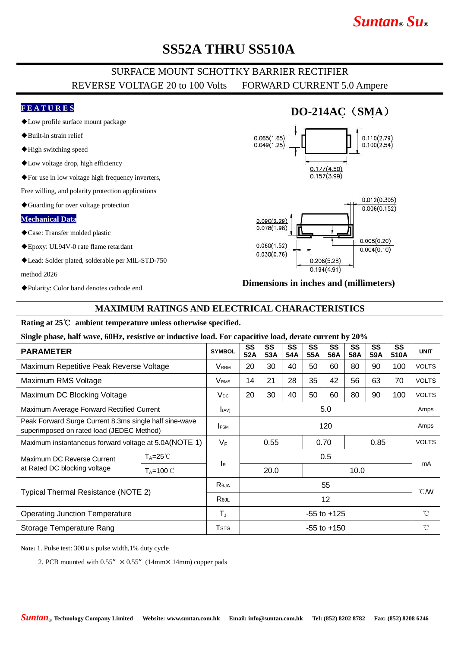# *Suntan***®** *Su***®**

## **SS52A THRU SS510A**

### SURFACE MOUNT SCHOTTKY BARRIER RECTIFIER REVERSE VOLTAGE 20 to 100 Volts FORWARD CURRENT 5.0 Ampere

#### **F E A T U R E S**

- ◆Low profile surface mount package
- ◆Built-in strain relief
- ◆High switching speed
- ◆Low voltage drop, high efficiency
- ◆For use in low voltage high frequency inverters,

Free willing, and polarity protection applications

◆Guarding for over voltage protection

#### **Mechanical Data**

- ◆Case: Transfer molded plastic
- ◆Epoxy: UL94V-0 rate flame retardant
- ◆Lead: Solder plated, solderable per MIL-STD-750

method 2026

◆Polarity: Color band denotes cathode end

## **DO-214AC**(**SMA**)





#### **Dimensions in inches and (millimeters)**

#### **MAXIMUM RATINGS AND ELECTRICAL CHARACTERISTICS**

#### **Rating at 25**℃ **ambient temperature unless otherwise specified.**

#### **Single phase, half wave, 60Hz, resistive or inductive load. For capacitive load, derate current by 20%**

| <b>PARAMETER</b>                                                                                    |                       | <b>SYMBOL</b>           | SS<br>52A            | SS<br>53A | SS<br>54A | SS<br>55A | SS<br>56A | SS<br>58A    | SS<br>59A | SS<br>510A  | <b>UNIT</b>    |
|-----------------------------------------------------------------------------------------------------|-----------------------|-------------------------|----------------------|-----------|-----------|-----------|-----------|--------------|-----------|-------------|----------------|
| Maximum Repetitive Peak Reverse Voltage                                                             |                       | <b>V</b> <sub>RRM</sub> | 20                   | 30        | 40        | 50        | 60        | 80           | 90        | 100         | <b>VOLTS</b>   |
| Maximum RMS Voltage                                                                                 |                       | <b>V</b> <sub>RMS</sub> | 14                   | 21        | 28        | 35        | 42        | 56           | 63        | 70          | <b>VOLTS</b>   |
| Maximum DC Blocking Voltage                                                                         |                       | $V_{DC}$                | 20                   | 30        | 40        | 50        | 60        | 80           | 90        | 100         | <b>VOLTS</b>   |
| Maximum Average Forward Rectified Current                                                           |                       | I(AV)                   | 5.0                  |           |           |           |           |              |           |             | Amps           |
| Peak Forward Surge Current 8.3ms single half sine-wave<br>superimposed on rated load (JEDEC Method) |                       | <b>IFSM</b>             | 120                  |           |           |           |           |              |           |             | Amps           |
| Maximum instantaneous forward voltage at 5.0A(NOTE 1)                                               |                       | $V_F$                   | 0.70<br>0.55<br>0.85 |           |           |           |           | <b>VOLTS</b> |           |             |                |
| Maximum DC Reverse Current<br>at Rated DC blocking voltage                                          | $T_A = 25^{\circ}$    | <b>I</b> R              | 0.5                  |           |           |           |           |              |           |             |                |
|                                                                                                     | $T_A = 100^{\circ}$ C |                         |                      | 20.0      |           | 10.0      |           |              |           |             | mA             |
| Typical Thermal Resistance (NOTE 2)                                                                 |                       | Reja                    | 55                   |           |           |           |           |              |           |             | $^{\circ}$ CMV |
|                                                                                                     |                       | Rejl                    | 12                   |           |           |           |           |              |           |             |                |
| <b>Operating Junction Temperature</b>                                                               |                       | $T_{\rm J}$             | $-55$ to $+125$      |           |           |           |           |              |           | $^{\circ}C$ |                |
| Storage Temperature Rang                                                                            |                       | <b>T</b> stg            | -55 to +150          |           |           |           |           |              |           |             | $^{\circ}C$    |

Note: 1. Pulse test: 300 μ s pulse width, 1% duty cycle

2. PCB mounted with  $0.55'' \times 0.55''$  (14mm × 14mm) copper pads